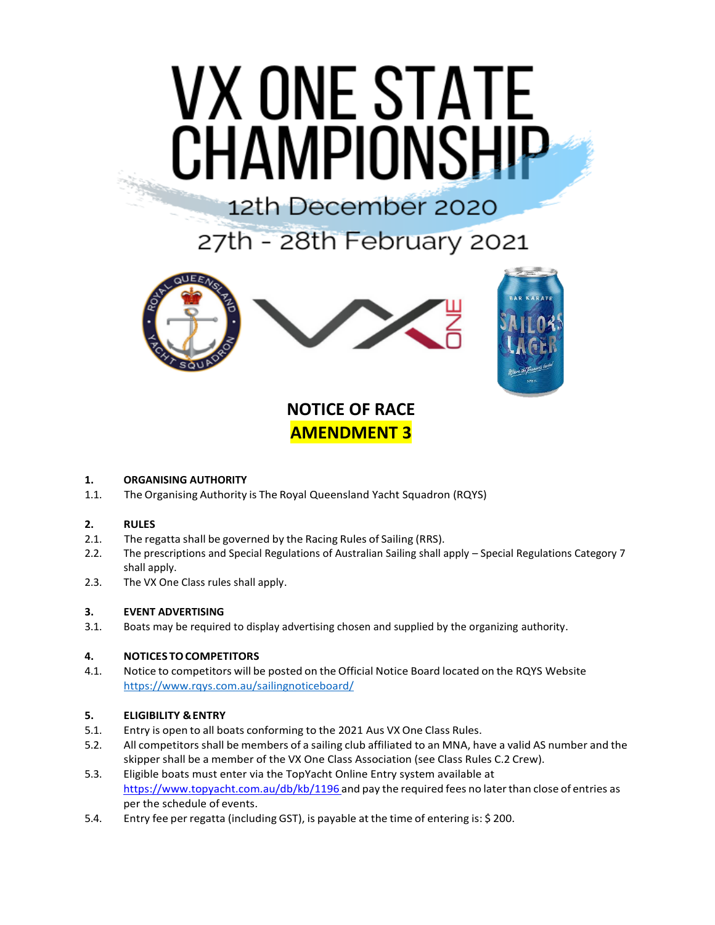# **VX ONE STATE CHAMPIONSHIP**

## 12th December 2020

27th - 28th February 2021



### **NOTICE OF RACE AMENDMENT 3**

#### **1. ORGANISING AUTHORITY**

1.1. The Organising Authority is The Royal Queensland Yacht Squadron (RQYS)

#### **2. RULES**

- 2.1. The regatta shall be governed by the Racing Rules of Sailing (RRS).
- 2.2. The prescriptions and Special Regulations of Australian Sailing shall apply Special Regulations Category 7 shall apply.
- 2.3. The VX One Class rules shall apply.

#### **3. EVENT ADVERTISING**

3.1. Boats may be required to display advertising chosen and supplied by the organizing authority.

#### **4. NOTICES TOCOMPETITORS**

4.1. Notice to competitors will be posted on the Official Notice Board located on the RQYS Website <https://www.rqys.com.au/sailingnoticeboard/>

#### **5. ELIGIBILITY &ENTRY**

- 5.1. Entry is open to all boats conforming to the 2021 Aus VX One Class Rules.
- 5.2. All competitors shall be members of a sailing club affiliated to an MNA, have a valid AS number and the skipper shall be a member of the VX One Class Association (see Class Rules C.2 Crew).
- 5.3. Eligible boats must enter via the TopYacht Online Entry system available at https:/[/www.topyacht.com.au/db/kb/1196](http://www.topyacht.com.au/db/kb/1196and) and pay the required fees no later than close of entries as per the schedule of events.
- 5.4. Entry fee per regatta (including GST), is payable at the time of entering is: \$ 200.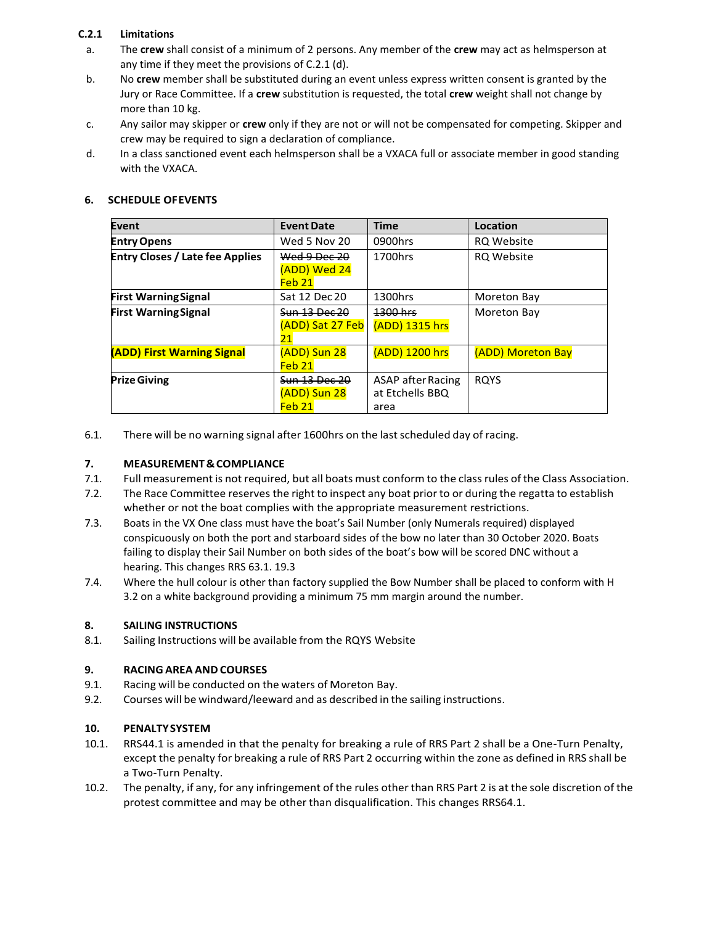#### **C.2.1 Limitations**

- a. The **crew** shall consist of a minimum of 2 persons. Any member of the **crew** may act as helmsperson at any time if they meet the provisions of C.2.1 (d).
- b. No **crew** member shall be substituted during an event unless express written consent is granted by the Jury or Race Committee. If a **crew** substitution is requested, the total **crew** weight shall not change by more than 10 kg.
- c. Any sailor may skipper or **crew** only if they are not or will not be compensated for competing. Skipper and crew may be required to sign a declaration of compliance.
- d. In a class sanctioned event each helmsperson shall be a VXACA full or associate member in good standing with the VXACA.

| <b>SCHEDULE OF EVENTS</b><br>6. |
|---------------------------------|
|---------------------------------|

| Event                                  | <b>Event Date</b>    | <b>Time</b>              | Location          |
|----------------------------------------|----------------------|--------------------------|-------------------|
| <b>Entry Opens</b>                     | Wed 5 Nov 20         | 0900hrs                  | <b>RQ Website</b> |
| <b>Entry Closes / Late fee Applies</b> | Wed 9 Dec 20         | 1700hrs                  | <b>RQ Website</b> |
|                                        | (ADD) Wed 24         |                          |                   |
|                                        | Feb <sub>21</sub>    |                          |                   |
| <b>First Warning Signal</b>            | Sat 12 Dec 20        | 1300hrs                  | Moreton Bay       |
| <b>First Warning Signal</b>            | <b>Sun 13 Dec 20</b> | 1300 hrs                 | Moreton Bay       |
|                                        | (ADD) Sat 27 Feb     | (ADD) 1315 hrs           |                   |
|                                        | 21                   |                          |                   |
| (ADD) First Warning Signal             | (ADD) Sun 28         | (ADD) 1200 hrs           | (ADD) Moreton Bay |
|                                        | Feb 21               |                          |                   |
| <b>Prize Giving</b>                    | Sun 13 Dec 20        | <b>ASAP</b> after Racing | <b>ROYS</b>       |
|                                        | (ADD) Sun 28         | at Etchells BBQ          |                   |
|                                        | Feb 21               | area                     |                   |

6.1. There will be no warning signal after 1600hrs on the lastscheduled day of racing.

#### **7. MEASUREMENT&COMPLIANCE**

- 7.1. Full measurement is not required, but all boats must conform to the classrules ofthe Class Association.
- 7.2. The Race Committee reserves the right to inspect any boat prior to or during the regatta to establish whether or not the boat complies with the appropriate measurement restrictions.
- 7.3. Boats in the VX One class must have the boat's Sail Number (only Numerals required) displayed conspicuously on both the port and starboard sides of the bow no later than 30 October 2020. Boats failing to display their Sail Number on both sides of the boat's bow will be scored DNC without a hearing. This changes RRS 63.1. 19.3
- 7.4. Where the hull colour is other than factory supplied the Bow Number shall be placed to conform with H 3.2 on a white background providing a minimum 75 mm margin around the number.

#### **8. SAILING INSTRUCTIONS**

8.1. Sailing Instructions will be available from the RQYS Website

#### **9. RACING AREA ANDCOURSES**

- 9.1. Racing will be conducted on the waters of Moreton Bay.
- 9.2. Courses will be windward/leeward and as described in the sailing instructions.

#### **10. PENALTYSYSTEM**

- 10.1. RRS44.1 is amended in that the penalty for breaking a rule of RRS Part 2 shall be a One-Turn Penalty, except the penalty for breaking a rule of RRS Part 2 occurring within the zone as defined in RRS shall be a Two-Turn Penalty.
- 10.2. The penalty, if any, for any infringement of the rules other than RRS Part 2 is at the sole discretion of the protest committee and may be other than disqualification. This changes RRS64.1.